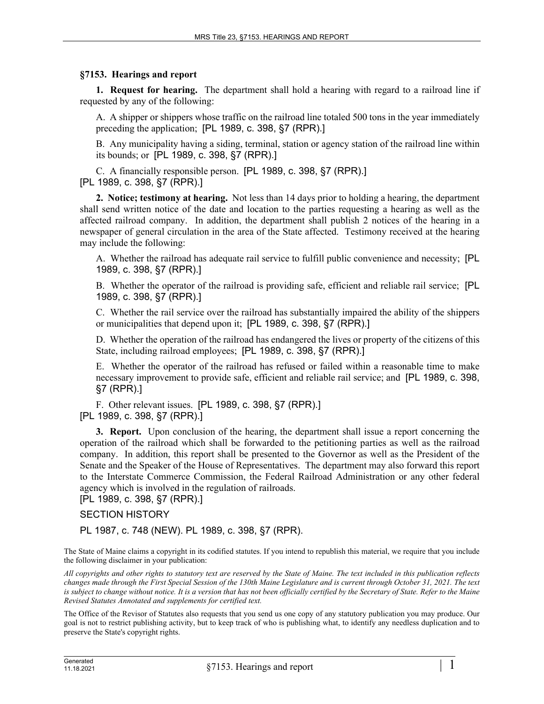## **§7153. Hearings and report**

**1. Request for hearing.** The department shall hold a hearing with regard to a railroad line if requested by any of the following:

A. A shipper or shippers whose traffic on the railroad line totaled 500 tons in the year immediately preceding the application; [PL 1989, c. 398, §7 (RPR).]

B. Any municipality having a siding, terminal, station or agency station of the railroad line within its bounds; or [PL 1989, c. 398, §7 (RPR).]

C. A financially responsible person. [PL 1989, c. 398, §7 (RPR).] [PL 1989, c. 398, §7 (RPR).]

**2. Notice; testimony at hearing.** Not less than 14 days prior to holding a hearing, the department shall send written notice of the date and location to the parties requesting a hearing as well as the affected railroad company. In addition, the department shall publish 2 notices of the hearing in a newspaper of general circulation in the area of the State affected. Testimony received at the hearing may include the following:

A. Whether the railroad has adequate rail service to fulfill public convenience and necessity; [PL 1989, c. 398, §7 (RPR).]

B. Whether the operator of the railroad is providing safe, efficient and reliable rail service; [PL 1989, c. 398, §7 (RPR).]

C. Whether the rail service over the railroad has substantially impaired the ability of the shippers or municipalities that depend upon it; [PL 1989, c. 398, §7 (RPR).]

D. Whether the operation of the railroad has endangered the lives or property of the citizens of this State, including railroad employees; [PL 1989, c. 398, §7 (RPR).]

E. Whether the operator of the railroad has refused or failed within a reasonable time to make necessary improvement to provide safe, efficient and reliable rail service; and [PL 1989, c. 398, §7 (RPR).]

F. Other relevant issues. [PL 1989, c. 398, §7 (RPR).] [PL 1989, c. 398, §7 (RPR).]

**3. Report.** Upon conclusion of the hearing, the department shall issue a report concerning the operation of the railroad which shall be forwarded to the petitioning parties as well as the railroad company. In addition, this report shall be presented to the Governor as well as the President of the Senate and the Speaker of the House of Representatives. The department may also forward this report to the Interstate Commerce Commission, the Federal Railroad Administration or any other federal agency which is involved in the regulation of railroads.

[PL 1989, c. 398, §7 (RPR).]

## SECTION HISTORY

PL 1987, c. 748 (NEW). PL 1989, c. 398, §7 (RPR).

The State of Maine claims a copyright in its codified statutes. If you intend to republish this material, we require that you include the following disclaimer in your publication:

*All copyrights and other rights to statutory text are reserved by the State of Maine. The text included in this publication reflects changes made through the First Special Session of the 130th Maine Legislature and is current through October 31, 2021. The text*  is subject to change without notice. It is a version that has not been officially certified by the Secretary of State. Refer to the Maine *Revised Statutes Annotated and supplements for certified text.*

The Office of the Revisor of Statutes also requests that you send us one copy of any statutory publication you may produce. Our goal is not to restrict publishing activity, but to keep track of who is publishing what, to identify any needless duplication and to preserve the State's copyright rights.